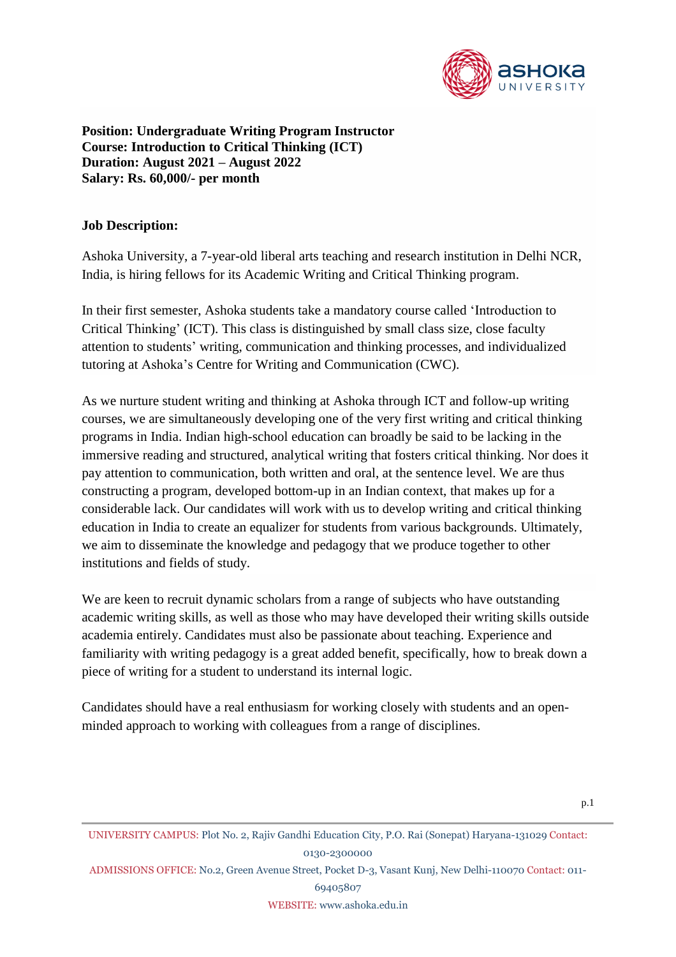

**Position: Undergraduate Writing Program Instructor Course: Introduction to Critical Thinking (ICT) Duration: August 2021 – August 2022 Salary: Rs. 60,000/- per month**

### **Job Description:**

Ashoka University, a 7-year-old liberal arts teaching and research institution in Delhi NCR, India, is hiring fellows for its Academic Writing and Critical Thinking program.

In their first semester, Ashoka students take a mandatory course called 'Introduction to Critical Thinking' (ICT). This class is distinguished by small class size, close faculty attention to students' writing, communication and thinking processes, and individualized tutoring at Ashoka's Centre for Writing and Communication (CWC).

As we nurture student writing and thinking at Ashoka through ICT and follow-up writing courses, we are simultaneously developing one of the very first writing and critical thinking programs in India. Indian high-school education can broadly be said to be lacking in the immersive reading and structured, analytical writing that fosters critical thinking. Nor does it pay attention to communication, both written and oral, at the sentence level. We are thus constructing a program, developed bottom-up in an Indian context, that makes up for a considerable lack. Our candidates will work with us to develop writing and critical thinking education in India to create an equalizer for students from various backgrounds. Ultimately, we aim to disseminate the knowledge and pedagogy that we produce together to other institutions and fields of study.

We are keen to recruit dynamic scholars from a range of subjects who have outstanding academic writing skills, as well as those who may have developed their writing skills outside academia entirely. Candidates must also be passionate about teaching. Experience and familiarity with writing pedagogy is a great added benefit, specifically, how to break down a piece of writing for a student to understand its internal logic.

Candidates should have a real enthusiasm for working closely with students and an openminded approach to working with colleagues from a range of disciplines.

ADMISSIONS OFFICE: No.2, Green Avenue Street, Pocket D-3, Vasant Kunj, New Delhi-110070 Contact: 011-

69405807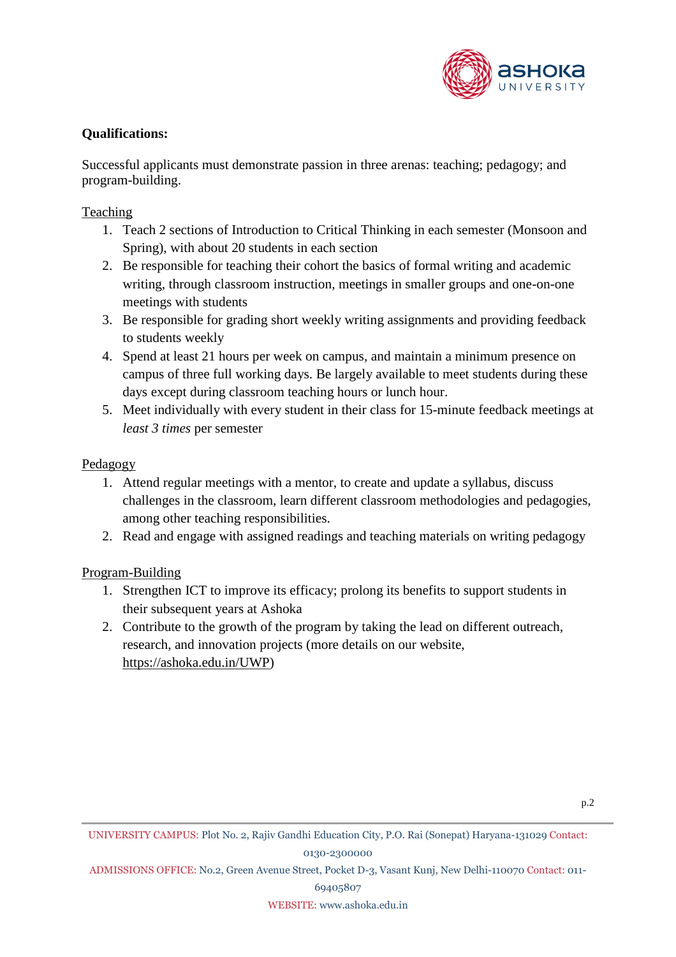

# **Qualifications:**

Successful applicants must demonstrate passion in three arenas: teaching; pedagogy; and program-building.

# **Teaching**

- 1. Teach 2 sections of Introduction to Critical Thinking in each semester (Monsoon and Spring), with about 20 students in each section
- 2. Be responsible for teaching their cohort the basics of formal writing and academic writing, through classroom instruction, meetings in smaller groups and one-on-one meetings with students
- 3. Be responsible for grading short weekly writing assignments and providing feedback to students weekly
- 4. Spend at least 21 hours per week on campus, and maintain a minimum presence on campus of three full working days. Be largely available to meet students during these days except during classroom teaching hours or lunch hour.
- 5. Meet individually with every student in their class for 15-minute feedback meetings at *least 3 times* per semester

### Pedagogy

- 1. Attend regular meetings with a mentor, to create and update a syllabus, discuss challenges in the classroom, learn different classroom methodologies and pedagogies, among other teaching responsibilities.
- 2. Read and engage with assigned readings and teaching materials on writing pedagogy

# Program-Building

- 1. Strengthen ICT to improve its efficacy; prolong its benefits to support students in their subsequent years at Ashoka
- 2. Contribute to the growth of the program by taking the lead on different outreach, research, and innovation projects (more details on our website, [https://ashoka.edu.in/UWP\)](https://ashoka.edu.in/UWP)

ADMISSIONS OFFICE: No.2, Green Avenue Street, Pocket D-3, Vasant Kunj, New Delhi-110070 Contact: 011-

69405807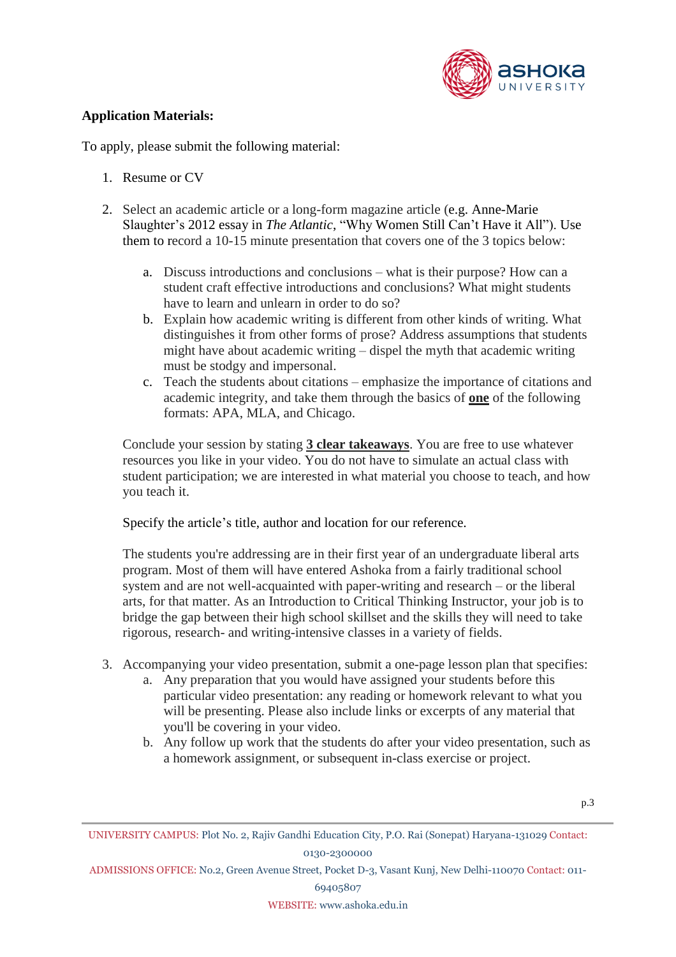

### **Application Materials:**

To apply, please submit the following material:

- 1. Resume or CV
- 2. Select an academic article or a long-form magazine article (e.g. Anne-Marie Slaughter's 2012 essay in *The Atlantic*, "Why Women Still Can't Have it All"). Use them to record a 10-15 minute presentation that covers one of the 3 topics below:
	- a. Discuss introductions and conclusions what is their purpose? How can a student craft effective introductions and conclusions? What might students have to learn and unlearn in order to do so?
	- b. Explain how academic writing is different from other kinds of writing. What distinguishes it from other forms of prose? Address assumptions that students might have about academic writing – dispel the myth that academic writing must be stodgy and impersonal.
	- c. Teach the students about citations emphasize the importance of citations and academic integrity, and take them through the basics of **one** of the following formats: APA, MLA, and Chicago.

Conclude your session by stating **3 clear takeaways**. You are free to use whatever resources you like in your video. You do not have to simulate an actual class with student participation; we are interested in what material you choose to teach, and how you teach it.

Specify the article's title, author and location for our reference.

The students you're addressing are in their first year of an undergraduate liberal arts program. Most of them will have entered Ashoka from a fairly traditional school system and are not well-acquainted with paper-writing and research – or the liberal arts, for that matter. As an Introduction to Critical Thinking Instructor, your job is to bridge the gap between their high school skillset and the skills they will need to take rigorous, research- and writing-intensive classes in a variety of fields.

- 3. Accompanying your video presentation, submit a one-page lesson plan that specifies:
	- a. Any preparation that you would have assigned your students before this particular video presentation: any reading or homework relevant to what you will be presenting. Please also include links or excerpts of any material that you'll be covering in your video.
	- b. Any follow up work that the students do after your video presentation, such as a homework assignment, or subsequent in-class exercise or project.

ADMISSIONS OFFICE: No.2, Green Avenue Street, Pocket D-3, Vasant Kunj, New Delhi-110070 Contact: 011-

69405807

UNIVERSITY CAMPUS: Plot No. 2, Rajiv Gandhi Education City, P.O. Rai (Sonepat) Haryana-131029 Contact: 0130-2300000